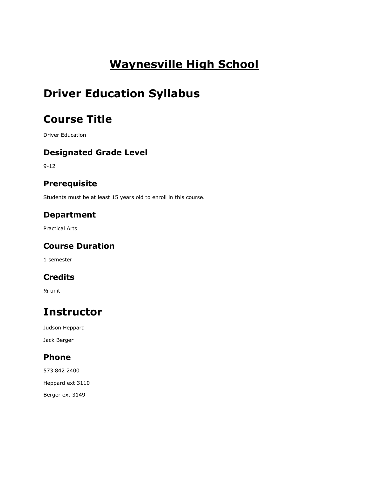# **Waynesville High School**

# **Driver Education Syllabus**

# **Course Title**

Driver Education

### **Designated Grade Level**

9-12

## **Prerequisite**

Students must be at least 15 years old to enroll in this course.

## **Department**

Practical Arts

## **Course Duration**

1 semester

## **Credits**

½ unit

# **Instructor**

Judson Heppard Jack Berger

### **Phone**

573 842 2400 Heppard ext 3110 Berger ext 3149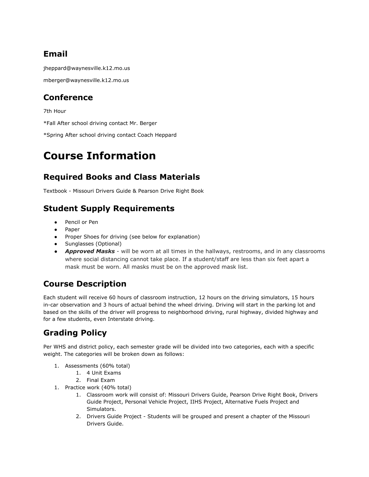## **Email**

jheppard@waynesville.k12.mo.us

mberger@waynesville.k12.mo.us

### **Conference**

7th Hour

\*Fall After school driving contact Mr. Berger

\*Spring After school driving contact Coach Heppard

# **Course Information**

## **Required Books and Class Materials**

Textbook - Missouri Drivers Guide & Pearson Drive Right Book

## **Student Supply Requirements**

- Pencil or Pen
- Paper
- Proper Shoes for driving (see below for explanation)
- Sunglasses (Optional)
- *Approved Masks*  will be worn at all times in the hallways, restrooms, and in any classrooms where social distancing cannot take place. If a student/staff are less than six feet apart a mask must be worn. All masks must be on the approved mask list.

## **Course Description**

Each student will receive 60 hours of classroom instruction, 12 hours on the driving simulators, 15 hours in-car observation and 3 hours of actual behind the wheel driving. Driving will start in the parking lot and based on the skills of the driver will progress to neighborhood driving, rural highway, divided highway and for a few students, even Interstate driving.

## **Grading Policy**

Per WHS and district policy, each semester grade will be divided into two categories, each with a specific weight. The categories will be broken down as follows:

- 1. Assessments (60% total)
	- 1. 4 Unit Exams
	- 2. Final Exam
- 1. Practice work (40% total)
	- 1. Classroom work will consist of: Missouri Drivers Guide, Pearson Drive Right Book, Drivers Guide Project, Personal Vehicle Project, IIHS Project, Alternative Fuels Project and Simulators.
	- 2. Drivers Guide Project Students will be grouped and present a chapter of the Missouri Drivers Guide.